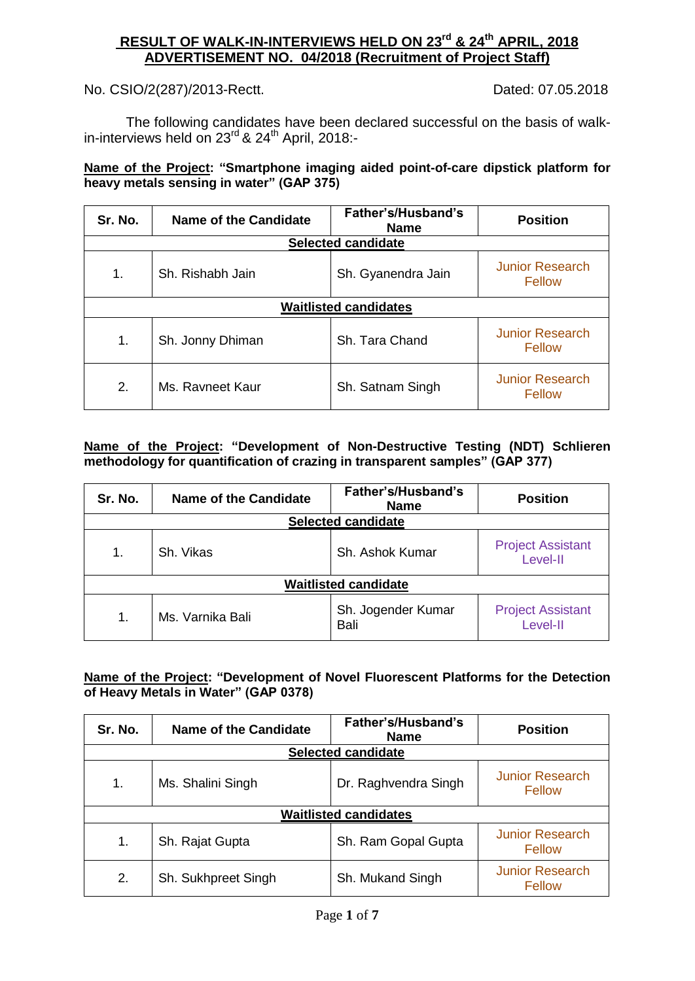# **RESULT OF WALK-IN-INTERVIEWS HELD ON 23 rd & 24th APRIL, 2018 ADVERTISEMENT NO. 04/2018 (Recruitment of Project Staff)**

No. CSIO/2(287)/2013-Rectt. Dated: 07.05.2018

The following candidates have been declared successful on the basis of walkin-interviews held on 23<sup>rd</sup> & 24<sup>th</sup> April, 2018:-

#### **Name of the Project: "Smartphone imaging aided point-of-care dipstick platform for heavy metals sensing in water" (GAP 375)**

| Sr. No. | Name of the Candidate | Father's/Husband's<br><b>Name</b> | <b>Position</b>                         |
|---------|-----------------------|-----------------------------------|-----------------------------------------|
|         |                       | <b>Selected candidate</b>         |                                         |
| 1.      | Sh. Rishabh Jain      | Sh. Gyanendra Jain                | <b>Junior Research</b><br>Fellow        |
|         |                       | <b>Waitlisted candidates</b>      |                                         |
| 1.      | Sh. Jonny Dhiman      | Sh. Tara Chand                    | <b>Junior Research</b><br>Fellow        |
| 2.      | Ms. Ravneet Kaur      | Sh. Satnam Singh                  | <b>Junior Research</b><br><b>Fellow</b> |

#### **Name of the Project: "Development of Non-Destructive Testing (NDT) Schlieren methodology for quantification of crazing in transparent samples" (GAP 377)**

| Sr. No. | <b>Name of the Candidate</b> | Father's/Husband's<br><b>Name</b> | <b>Position</b>                      |  |
|---------|------------------------------|-----------------------------------|--------------------------------------|--|
|         |                              | <b>Selected candidate</b>         |                                      |  |
| 1.      | Sh. Vikas                    | Sh. Ashok Kumar                   | <b>Project Assistant</b><br>Level-II |  |
|         | <b>Waitlisted candidate</b>  |                                   |                                      |  |
| 1.      | Ms. Varnika Bali             | Sh. Jogender Kumar<br>Bali        | <b>Project Assistant</b><br>Level-II |  |

#### **Name of the Project: "Development of Novel Fluorescent Platforms for the Detection of Heavy Metals in Water" (GAP 0378)**

| Sr. No. | <b>Name of the Candidate</b> | Father's/Husband's<br><b>Name</b> | <b>Position</b>                         |
|---------|------------------------------|-----------------------------------|-----------------------------------------|
|         |                              | <b>Selected candidate</b>         |                                         |
| 1.      | Ms. Shalini Singh            | Dr. Raghvendra Singh              | <b>Junior Research</b><br>Fellow        |
|         |                              | <b>Waitlisted candidates</b>      |                                         |
| 1.      | Sh. Rajat Gupta              | Sh. Ram Gopal Gupta               | <b>Junior Research</b><br>Fellow        |
| 2.      | Sh. Sukhpreet Singh          | Sh. Mukand Singh                  | <b>Junior Research</b><br><b>Fellow</b> |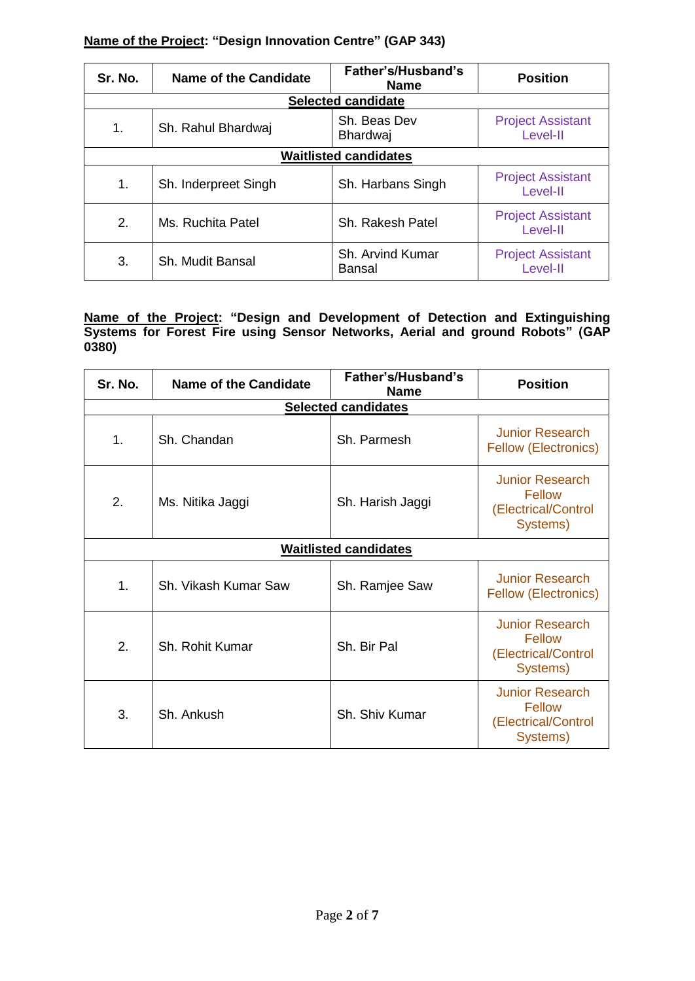#### **Name of the Project: "Design Innovation Centre" (GAP 343)**

| Sr. No. | <b>Name of the Candidate</b> | Father's/Husband's<br><b>Name</b> | <b>Position</b>                      |  |
|---------|------------------------------|-----------------------------------|--------------------------------------|--|
|         |                              | <b>Selected candidate</b>         |                                      |  |
| 1.      | Sh. Rahul Bhardwaj           | Sh. Beas Dev<br><b>Bhardwaj</b>   | <b>Project Assistant</b><br>Level-II |  |
|         | <b>Waitlisted candidates</b> |                                   |                                      |  |
| 1.      | Sh. Inderpreet Singh         | Sh. Harbans Singh                 | <b>Project Assistant</b><br>Level-II |  |
| 2.      | Ms. Ruchita Patel            | Sh. Rakesh Patel                  | <b>Project Assistant</b><br>Level-II |  |
| 3.      | Sh. Mudit Bansal             | Sh. Arvind Kumar<br>Bansal        | <b>Project Assistant</b><br>Level-II |  |

**Name of the Project: "Design and Development of Detection and Extinguishing Systems for Forest Fire using Sensor Networks, Aerial and ground Robots" (GAP 0380)**

| Sr. No. | <b>Name of the Candidate</b> | Father's/Husband's<br><b>Name</b> | <b>Position</b>                                                            |
|---------|------------------------------|-----------------------------------|----------------------------------------------------------------------------|
|         |                              | <b>Selected candidates</b>        |                                                                            |
| 1.      | Sh. Chandan                  | Sh. Parmesh                       | <b>Junior Research</b><br><b>Fellow (Electronics)</b>                      |
| 2.      | Ms. Nitika Jaggi             | Sh. Harish Jaggi                  | <b>Junior Research</b><br>Fellow<br>(Electrical/Control<br>Systems)        |
|         |                              | <b>Waitlisted candidates</b>      |                                                                            |
| 1.      | Sh. Vikash Kumar Saw         | Sh. Ramjee Saw                    | <b>Junior Research</b><br><b>Fellow (Electronics)</b>                      |
| 2.      | Sh. Rohit Kumar              | Sh. Bir Pal                       | <b>Junior Research</b><br>Fellow<br>(Electrical/Control<br>Systems)        |
| 3.      | Sh. Ankush                   | Sh. Shiv Kumar                    | <b>Junior Research</b><br><b>Fellow</b><br>(Electrical/Control<br>Systems) |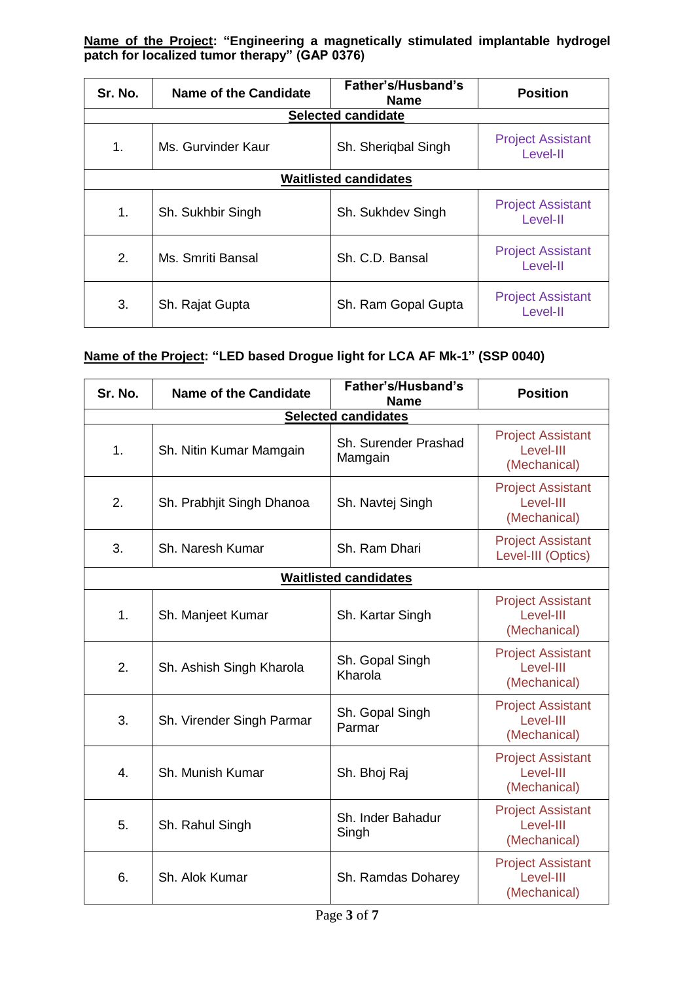**Name of the Project: "Engineering a magnetically stimulated implantable hydrogel patch for localized tumor therapy" (GAP 0376)**

| Sr. No. | <b>Name of the Candidate</b> | Father's/Husband's<br><b>Name</b> | <b>Position</b>                      |  |
|---------|------------------------------|-----------------------------------|--------------------------------------|--|
|         |                              | <b>Selected candidate</b>         |                                      |  |
| 1.      | Ms. Gurvinder Kaur           | Sh. Sherigbal Singh               | <b>Project Assistant</b><br>Level-II |  |
|         | <b>Waitlisted candidates</b> |                                   |                                      |  |
| 1.      | Sh. Sukhbir Singh            | Sh. Sukhdev Singh                 | <b>Project Assistant</b><br>Level-II |  |
| 2.      | Ms. Smriti Bansal            | Sh. C.D. Bansal                   | <b>Project Assistant</b><br>Level-II |  |
| 3.      | Sh. Rajat Gupta              | Sh. Ram Gopal Gupta               | <b>Project Assistant</b><br>Level-II |  |

# **Name of the Project: "LED based Drogue light for LCA AF Mk-1" (SSP 0040)**

| Sr. No. | <b>Name of the Candidate</b> | Father's/Husband's<br><b>Name</b> | <b>Position</b>                                       |
|---------|------------------------------|-----------------------------------|-------------------------------------------------------|
|         |                              | <b>Selected candidates</b>        |                                                       |
| 1.      | Sh. Nitin Kumar Mamgain      | Sh. Surender Prashad<br>Mamgain   | <b>Project Assistant</b><br>Level-III<br>(Mechanical) |
| 2.      | Sh. Prabhjit Singh Dhanoa    | Sh. Navtej Singh                  | <b>Project Assistant</b><br>Level-III<br>(Mechanical) |
| 3.      | Sh. Naresh Kumar             | Sh. Ram Dhari                     | <b>Project Assistant</b><br>Level-III (Optics)        |
|         |                              | <b>Waitlisted candidates</b>      |                                                       |
| 1.      | Sh. Manjeet Kumar            | Sh. Kartar Singh                  | <b>Project Assistant</b><br>Level-III<br>(Mechanical) |
| 2.      | Sh. Ashish Singh Kharola     | Sh. Gopal Singh<br>Kharola        | <b>Project Assistant</b><br>Level-III<br>(Mechanical) |
| 3.      | Sh. Virender Singh Parmar    | Sh. Gopal Singh<br>Parmar         | <b>Project Assistant</b><br>Level-III<br>(Mechanical) |
| 4.      | Sh. Munish Kumar             | Sh. Bhoj Raj                      | <b>Project Assistant</b><br>Level-III<br>(Mechanical) |
| 5.      | Sh. Rahul Singh              | Sh. Inder Bahadur<br>Singh        | <b>Project Assistant</b><br>Level-III<br>(Mechanical) |
| 6.      | Sh. Alok Kumar               | Sh. Ramdas Doharey                | <b>Project Assistant</b><br>Level-III<br>(Mechanical) |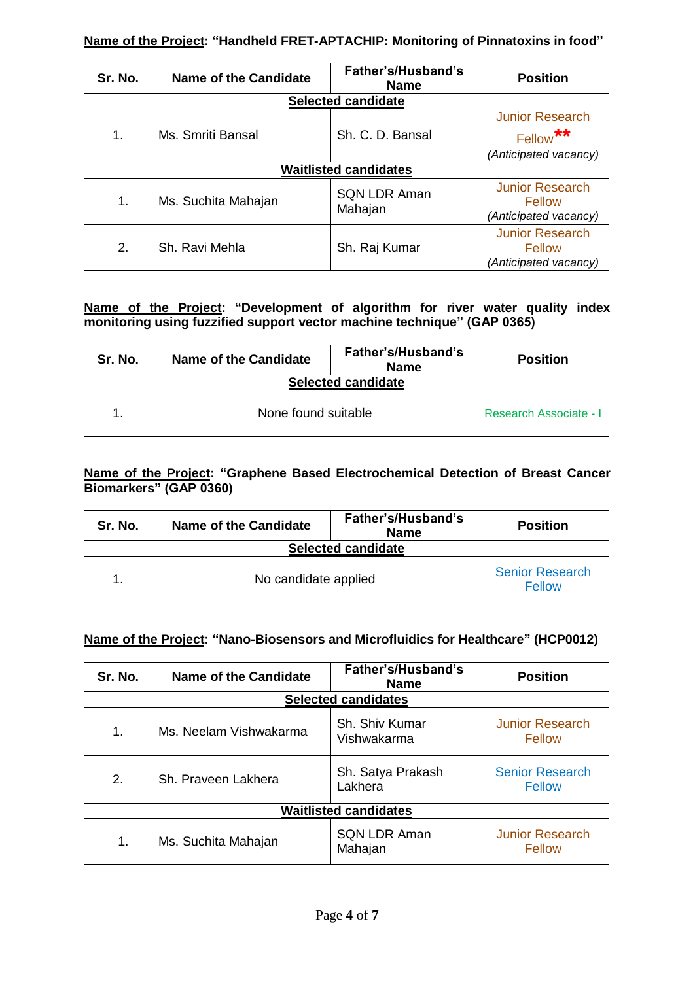#### **Name of the Project: "Handheld FRET-APTACHIP: Monitoring of Pinnatoxins in food"**

| Sr. No. | <b>Name of the Candidate</b> | Father's/Husband's<br><b>Name</b> | <b>Position</b>                                           |
|---------|------------------------------|-----------------------------------|-----------------------------------------------------------|
|         |                              | <b>Selected candidate</b>         |                                                           |
|         |                              |                                   | <b>Junior Research</b>                                    |
| 1.      | Ms. Smriti Bansal            | Sh. C. D. Bansal                  | $***$<br>Fellow                                           |
|         |                              |                                   | (Anticipated vacancy)                                     |
|         |                              | <b>Waitlisted candidates</b>      |                                                           |
| 1.      | Ms. Suchita Mahajan          | <b>SQN LDR Aman</b><br>Mahajan    | <b>Junior Research</b><br>Fellow<br>(Anticipated vacancy) |
| 2.      | Sh. Ravi Mehla               | Sh. Raj Kumar                     | <b>Junior Research</b><br>Fellow<br>(Anticipated vacancy) |

#### **Name of the Project: "Development of algorithm for river water quality index monitoring using fuzzified support vector machine technique" (GAP 0365)**

| Sr. No.                   | <b>Name of the Candidate</b> | Father's/Husband's<br><b>Name</b> | <b>Position</b>               |  |
|---------------------------|------------------------------|-----------------------------------|-------------------------------|--|
| <b>Selected candidate</b> |                              |                                   |                               |  |
|                           | None found suitable          |                                   | <b>Research Associate - I</b> |  |

#### **Name of the Project: "Graphene Based Electrochemical Detection of Breast Cancer Biomarkers" (GAP 0360)**

| Sr. No.                   | Name of the Candidate | Father's/Husband's<br><b>Name</b> | <b>Position</b>                  |  |
|---------------------------|-----------------------|-----------------------------------|----------------------------------|--|
| <b>Selected candidate</b> |                       |                                   |                                  |  |
|                           | No candidate applied  |                                   | <b>Senior Research</b><br>Fellow |  |

## **Name of the Project: "Nano-Biosensors and Microfluidics for Healthcare" (HCP0012)**

| Sr. No. | <b>Name of the Candidate</b> | Father's/Husband's<br><b>Name</b> | <b>Position</b>                         |
|---------|------------------------------|-----------------------------------|-----------------------------------------|
|         |                              | <b>Selected candidates</b>        |                                         |
| 1.      | Ms. Neelam Vishwakarma       | Sh. Shiv Kumar<br>Vishwakarma     | <b>Junior Research</b><br><b>Fellow</b> |
| 2.      | Sh. Praveen Lakhera          | Sh. Satya Prakash<br>Lakhera      | <b>Senior Research</b><br><b>Fellow</b> |
|         |                              | <b>Waitlisted candidates</b>      |                                         |
| 1.      | Ms. Suchita Mahajan          | <b>SQN LDR Aman</b><br>Mahajan    | <b>Junior Research</b><br><b>Fellow</b> |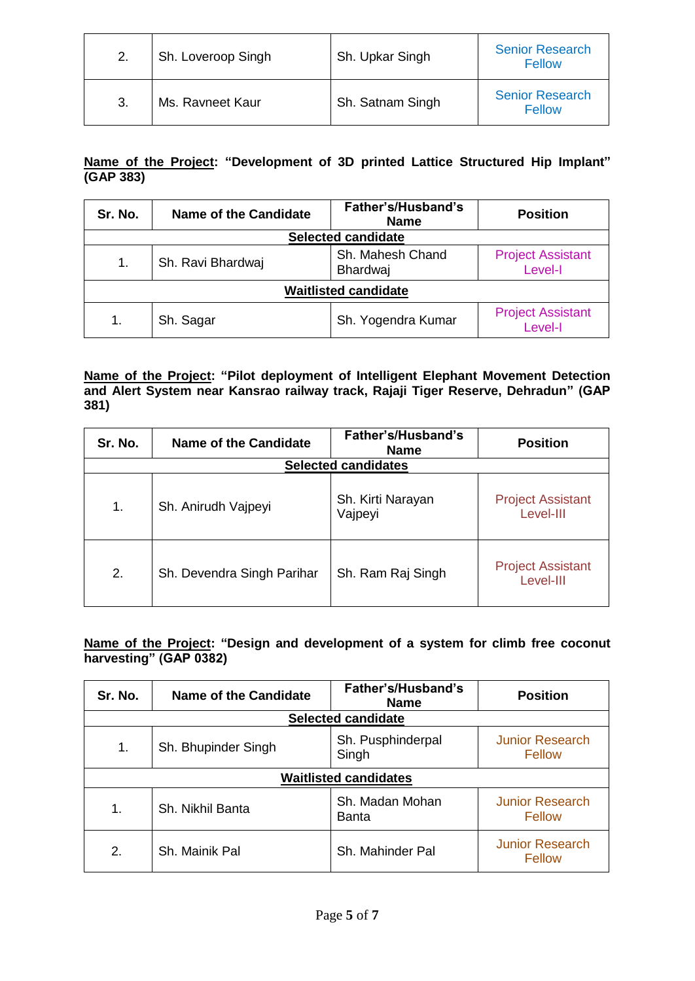| 2. | Sh. Loveroop Singh | Sh. Upkar Singh  | <b>Senior Research</b><br>Fellow |
|----|--------------------|------------------|----------------------------------|
| 3. | Ms. Ravneet Kaur   | Sh. Satnam Singh | <b>Senior Research</b><br>Fellow |

## **Name of the Project: "Development of 3D printed Lattice Structured Hip Implant" (GAP 383)**

| Sr. No.                     | <b>Name of the Candidate</b> | Father's/Husband's<br><b>Name</b> | <b>Position</b>                     |
|-----------------------------|------------------------------|-----------------------------------|-------------------------------------|
|                             |                              | <b>Selected candidate</b>         |                                     |
| 1.                          | Sh. Ravi Bhardwaj            | Sh. Mahesh Chand<br>Bhardwaj      | <b>Project Assistant</b><br>Level-I |
| <b>Waitlisted candidate</b> |                              |                                   |                                     |
| 1.                          | Sh. Sagar                    | Sh. Yogendra Kumar                | <b>Project Assistant</b><br>Level-I |

#### **Name of the Project: "Pilot deployment of Intelligent Elephant Movement Detection and Alert System near Kansrao railway track, Rajaji Tiger Reserve, Dehradun" (GAP 381)**

| Sr. No. | <b>Name of the Candidate</b> | Father's/Husband's<br><b>Name</b> | <b>Position</b>                       |
|---------|------------------------------|-----------------------------------|---------------------------------------|
|         |                              | <b>Selected candidates</b>        |                                       |
| 1.      | Sh. Anirudh Vajpeyi          | Sh. Kirti Narayan<br>Vajpeyi      | <b>Project Assistant</b><br>Level-III |
| 2.      | Sh. Devendra Singh Parihar   | Sh. Ram Raj Singh                 | <b>Project Assistant</b><br>Level-III |

## **Name of the Project: "Design and development of a system for climb free coconut harvesting" (GAP 0382)**

| Sr. No.                      | <b>Name of the Candidate</b> | Father's/Husband's<br><b>Name</b> | <b>Position</b>                         |
|------------------------------|------------------------------|-----------------------------------|-----------------------------------------|
|                              |                              | <b>Selected candidate</b>         |                                         |
| 1.                           | Sh. Bhupinder Singh          | Sh. Pusphinderpal<br>Singh        | <b>Junior Research</b><br><b>Fellow</b> |
| <b>Waitlisted candidates</b> |                              |                                   |                                         |
| 1.                           | Sh. Nikhil Banta             | Sh. Madan Mohan<br>Banta          | <b>Junior Research</b><br>Fellow        |
| 2.                           | Sh. Mainik Pal               | Sh. Mahinder Pal                  | <b>Junior Research</b><br>Fellow        |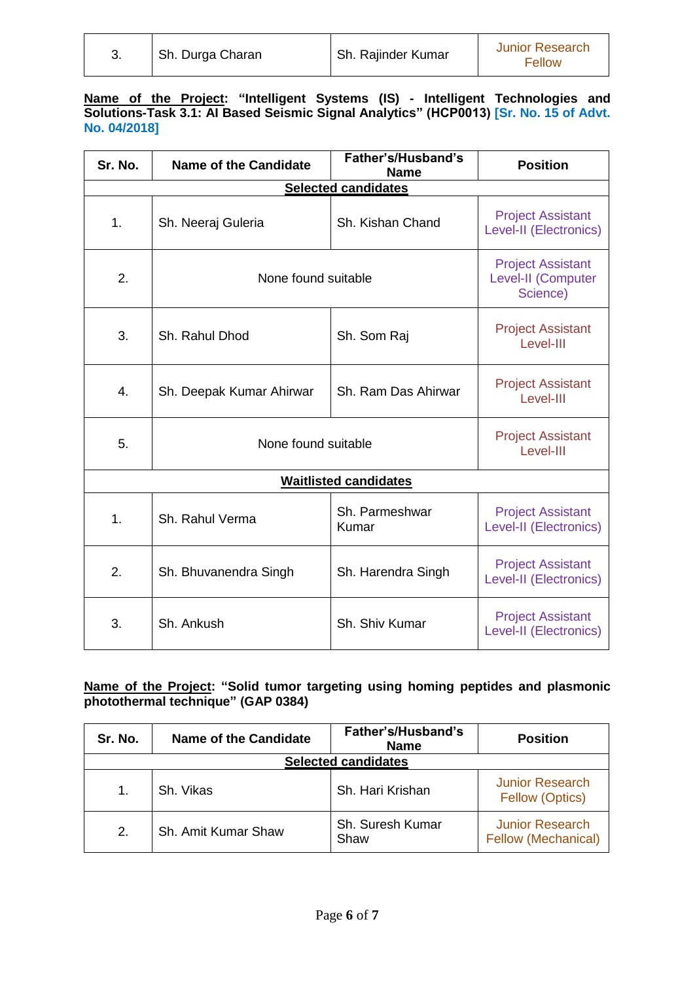|  | Sh. Durga Charan | Sh. Rajinder Kumar | <b>Junior Research</b><br>Fellow |
|--|------------------|--------------------|----------------------------------|
|--|------------------|--------------------|----------------------------------|

#### **Name of the Project: "Intelligent Systems (IS) - Intelligent Technologies and Solutions-Task 3.1: AI Based Seismic Signal Analytics" (HCP0013) [Sr. No. 15 of Advt. No. 04/2018]**

| Sr. No. | <b>Name of the Candidate</b> | Father's/Husband's<br><b>Name</b> | <b>Position</b>                                            |
|---------|------------------------------|-----------------------------------|------------------------------------------------------------|
|         |                              | Selected candidates               |                                                            |
| 1.      | Sh. Neeraj Guleria           | Sh. Kishan Chand                  | <b>Project Assistant</b><br>Level-II (Electronics)         |
| 2.      | None found suitable          |                                   | <b>Project Assistant</b><br>Level-II (Computer<br>Science) |
| 3.      | Sh. Rahul Dhod               | Sh. Som Raj                       | <b>Project Assistant</b><br>Level-III                      |
| 4.      | Sh. Deepak Kumar Ahirwar     | Sh. Ram Das Ahirwar               | <b>Project Assistant</b><br>Level-III                      |
| 5.      | None found suitable          |                                   | <b>Project Assistant</b><br>Level-III                      |
|         |                              | <b>Waitlisted candidates</b>      |                                                            |
| 1.      | Sh. Rahul Verma              | Sh. Parmeshwar<br>Kumar           | <b>Project Assistant</b><br>Level-II (Electronics)         |
| 2.      | Sh. Bhuvanendra Singh        | Sh. Harendra Singh                | <b>Project Assistant</b><br>Level-II (Electronics)         |
| 3.      | Sh. Ankush                   | Sh. Shiv Kumar                    | <b>Project Assistant</b><br>Level-II (Electronics)         |

## **Name of the Project: "Solid tumor targeting using homing peptides and plasmonic photothermal technique" (GAP 0384)**

| Sr. No. | <b>Name of the Candidate</b> | Father's/Husband's<br><b>Name</b> | <b>Position</b>                                  |  |  |
|---------|------------------------------|-----------------------------------|--------------------------------------------------|--|--|
|         | <b>Selected candidates</b>   |                                   |                                                  |  |  |
| 1.      | Sh. Vikas                    | Sh. Hari Krishan                  | <b>Junior Research</b><br><b>Fellow (Optics)</b> |  |  |
| 2.      | Sh. Amit Kumar Shaw          | Sh. Suresh Kumar<br>Shaw          | <b>Junior Research</b><br>Fellow (Mechanical)    |  |  |